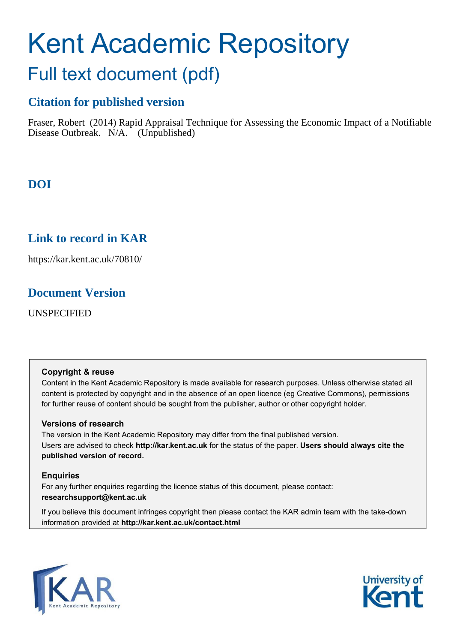# Kent Academic Repository Full text document (pdf)

## **Citation for published version**

Fraser, Robert (2014) Rapid Appraisal Technique for Assessing the Economic Impact of a Notifiable Disease Outbreak. N/A. (Unpublished)

# **DOI**

## **Link to record in KAR**

https://kar.kent.ac.uk/70810/

## **Document Version**

UNSPECIFIED

#### **Copyright & reuse**

Content in the Kent Academic Repository is made available for research purposes. Unless otherwise stated all content is protected by copyright and in the absence of an open licence (eg Creative Commons), permissions for further reuse of content should be sought from the publisher, author or other copyright holder.

#### **Versions of research**

The version in the Kent Academic Repository may differ from the final published version. Users are advised to check **http://kar.kent.ac.uk** for the status of the paper. **Users should always cite the published version of record.**

#### **Enquiries**

For any further enquiries regarding the licence status of this document, please contact: **researchsupport@kent.ac.uk**

If you believe this document infringes copyright then please contact the KAR admin team with the take-down information provided at **http://kar.kent.ac.uk/contact.html**